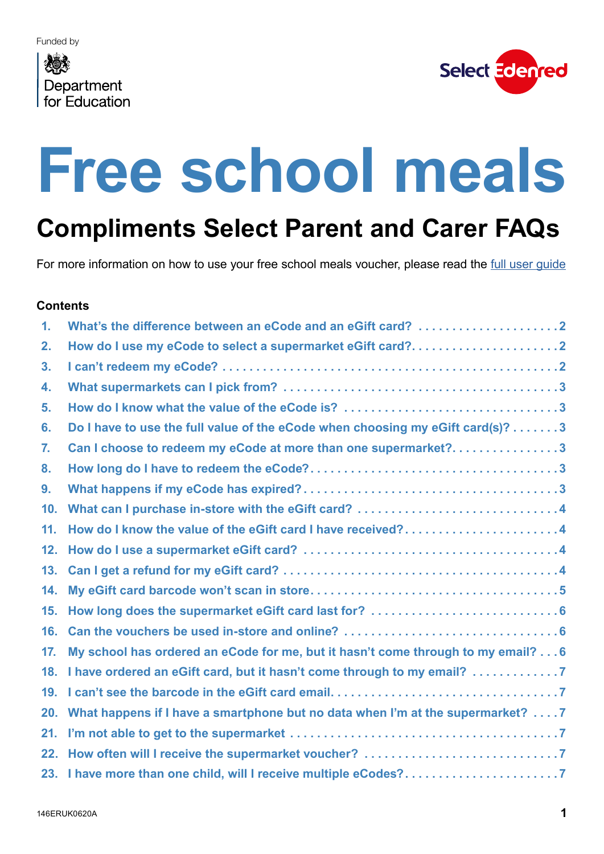## <span id="page-0-0"></span>Department for **Fducation**



# **Free school meals**

## **Compliments Select Parent and Carer FAQs**

For more information on how to use your free school meals voucher, please read the full user quide

#### **Contents**

| $\mathbf 1$ .   | What's the difference between an eCode and an eGift card? 2                      |
|-----------------|----------------------------------------------------------------------------------|
| 2.              | How do I use my eCode to select a supermarket eGift card?2                       |
| 3.              |                                                                                  |
| 4.              |                                                                                  |
| 5.              |                                                                                  |
| 6.              | Do I have to use the full value of the eCode when choosing my eGift card(s)? 3   |
| 7.              | Can I choose to redeem my eCode at more than one supermarket?3                   |
| 8.              |                                                                                  |
| 9.              |                                                                                  |
| 10 <sub>1</sub> |                                                                                  |
| 11.             | How do I know the value of the eGift card I have received?4                      |
| 12.             |                                                                                  |
| 13.             |                                                                                  |
| 14.             |                                                                                  |
| 15.             |                                                                                  |
| 16.             |                                                                                  |
| 17.             | My school has ordered an eCode for me, but it hasn't come through to my email? 6 |
| 18.             |                                                                                  |
| 19.             |                                                                                  |
| 20.             | What happens if I have a smartphone but no data when I'm at the supermarket? 7   |
| 21.             |                                                                                  |
| 22.             |                                                                                  |
|                 | 23. I have more than one child, will I receive multiple eCodes?7                 |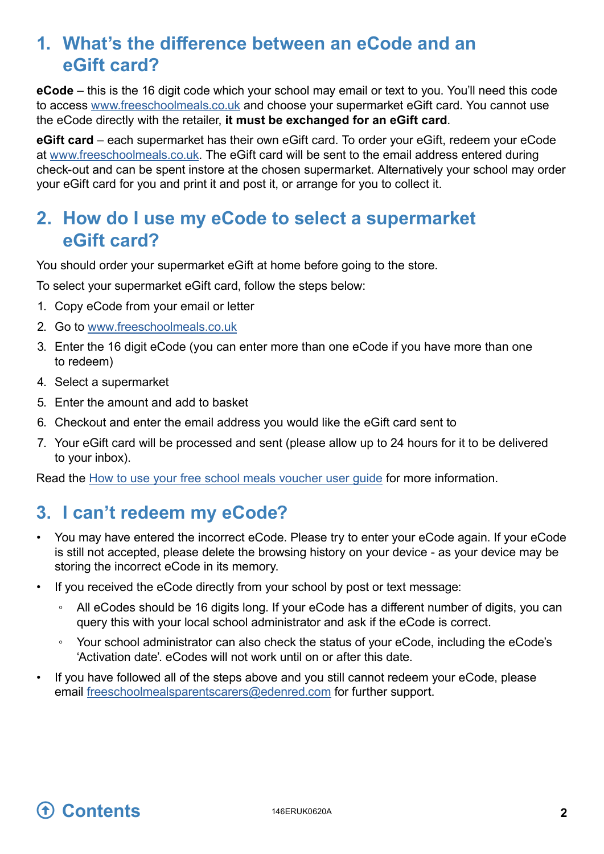#### <span id="page-1-0"></span>**1. What's the difference between an eCode and an eGift card?**

**eCode** – this is the 16 digit code which your school may email or text to you. You'll need this code to access [www.freeschoolmeals.co.uk](http://www.freeschoolmeals.co.uk/) and choose your supermarket eGift card. You cannot use the eCode directly with the retailer, **it must be exchanged for an eGift card**.

**eGift card** – each supermarket has their own eGift card. To order your eGift, redeem your eCode at w[ww.freeschoolmeals.co.uk](http://www.freeschoolmeals.co.uk/). The eGift card will be sent to the email address entered during check-out and can be spent instore at the chosen supermarket. Alternatively your school may order your eGift card for you and print it and post it, or arrange for you to collect it.

#### **2. How do I use my eCode to select a supermarket eGift card?**

You should order your supermarket eGift at home before going to the store.

To select your supermarket eGift card, follow the steps below:

- 1. Copy eCode from your email or letter
- 2. Go to [www.freeschoolmeals.co.uk](http://www.freeschoolmeals.co.uk/)
- 3. Enter the 16 digit eCode (you can enter more than one eCode if you have more than one to redeem)
- 4. Select a supermarket
- 5. Enter the amount and add to basket
- 6. Checkout and enter the email address you would like the eGift card sent to
- 7. Your eGift card will be processed and sent (please allow up to 24 hours for it to be delivered to your inbox).

Read the [How to use your free school meals voucher user guide](https://www.edenred.co.uk/Documents/DfE/DfE_FSM-voucher-scheme_Parent-Carer-Userguide.pdf) for more information.

#### <span id="page-1-1"></span>**3. I** can't redeem my eCode?

- You may have entered the incorrect eCode. Please try to enter your eCode again. If your eCode is still not accepted, please delete the browsing history on your device - as your device may be storing the incorrect eCode in its memory.
- If you received the eCode directly from your school by post or text message:
	- All eCodes should be 16 digits long. If your eCode has a different number of digits, you can query this with your local school administrator and ask if the eCode is correct.
	- Your school administrator can also check the status of your eCode, including the eCode's 'Activation date'. eCodes will not work until on or after this date.
- If you have followed all of the steps above and you still cannot redeem your eCode, please email [freeschoolmealsparentscarers@edenred.com](mailto:freeschoolmealsparentscarers@edenred.com) for further support.

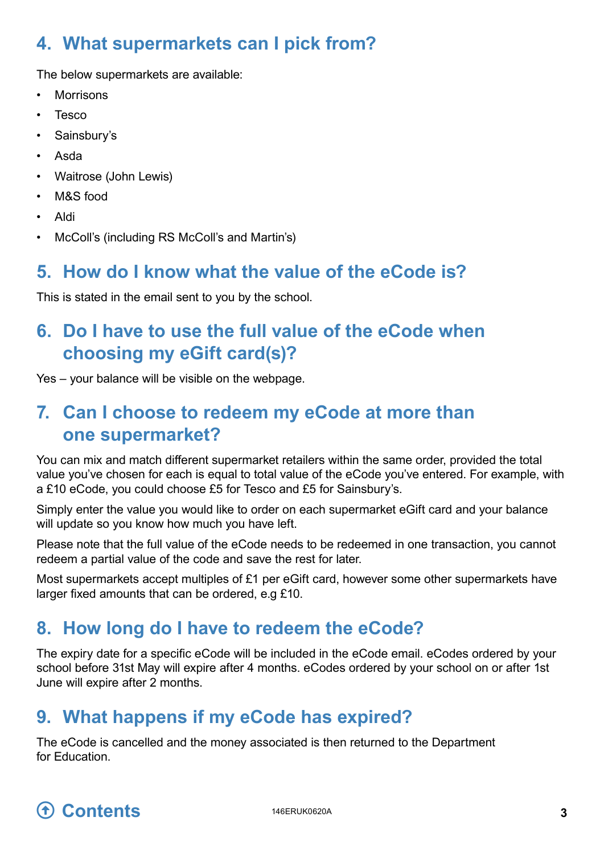### <span id="page-2-0"></span>**4. What supermarkets can I pick from?**

The below supermarkets are available:

- **Morrisons**
- Tesco
- Sainsbury's
- Asda
- Waitrose (John Lewis)
- M&S food
- Aldi
- McColl's (including RS McColl's and Martin's)

#### **5. How do I know what the value of the eCode is?**

This is stated in the email sent to you by the school.

#### **6. Do I have to use the full value of the eCode when choosing my eGift card(s)?**

Yes – your balance will be visible on the webpage.

#### **7. Can I choose to redeem my eCode at more than one supermarket?**

You can mix and match different supermarket retailers within the same order, provided the total value you've chosen for each is equal to total value of the eCode you've entered. For example, with a £10 eCode, you could choose £5 for Tesco and £5 for Sainsbury's.

Simply enter the value you would like to order on each supermarket eGift card and your balance will update so you know how much you have left.

Please note that the full value of the eCode needs to be redeemed in one transaction, you cannot redeem a partial value of the code and save the rest for later.

Most supermarkets accept multiples of £1 per eGift card, however some other supermarkets have larger fixed amounts that can be ordered, e.g £10.

#### <span id="page-2-1"></span>**8. How long do I have to redeem the eCode?**

The expiry date for a specific eCode will be included in the eCode email. eCodes ordered by your school before 31st May will expire after 4 months. eCodes ordered by your school on or after 1st June will expire after 2 months.

#### **9. What happens if my eCode has expired?**

The eCode is cancelled and the money associated is then returned to the Department for Education.

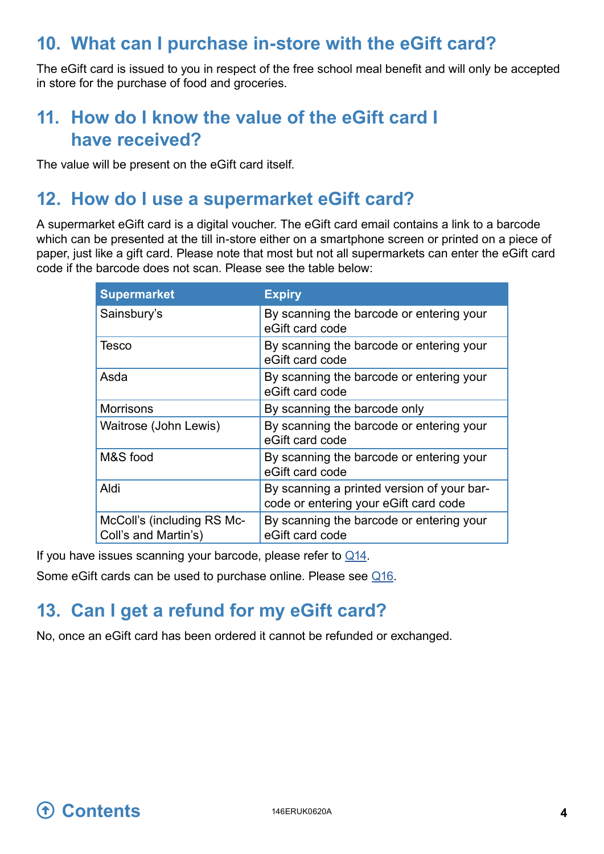#### <span id="page-3-0"></span>**10. What can I purchase in-store with the eGift card?**

The eGift card is issued to you in respect of the free school meal benefit and will only be accepted in store for the purchase of food and groceries.

#### **11. How do I know the value of the eGift card I have received?**

The value will be present on the eGift card itself.

#### <span id="page-3-1"></span>**12. How do I use a supermarket eGift card?**

A supermarket eGift card is a digital voucher. The eGift card email contains a link to a barcode which can be presented at the till in-store either on a smartphone screen or printed on a piece of paper, just like a gift card. Please note that most but not all supermarkets can enter the eGift card code if the barcode does not scan. Please see the table below:

| <b>Supermarket</b>                                 | <b>Expiry</b>                                                                       |  |  |
|----------------------------------------------------|-------------------------------------------------------------------------------------|--|--|
| Sainsbury's                                        | By scanning the barcode or entering your<br>eGift card code                         |  |  |
| Tesco                                              | By scanning the barcode or entering your<br>eGift card code                         |  |  |
| Asda                                               | By scanning the barcode or entering your<br>eGift card code                         |  |  |
| <b>Morrisons</b>                                   | By scanning the barcode only                                                        |  |  |
| Waitrose (John Lewis)                              | By scanning the barcode or entering your<br>eGift card code                         |  |  |
| M&S food                                           | By scanning the barcode or entering your<br>eGift card code                         |  |  |
| Aldi                                               | By scanning a printed version of your bar-<br>code or entering your eGift card code |  |  |
| McColl's (including RS Mc-<br>Coll's and Martin's) | By scanning the barcode or entering your<br>eGift card code                         |  |  |

If you have issues scanning your barcode, please refer to  $\mathcal{Q}$ 14.

Some eGift cards can be used to purchase online. Please see [Q1](#page-5-1)6.

#### **13. Can I get a refund for my eGift card?**

No, once an eGift card has been ordered it cannot be refunded or exchanged.

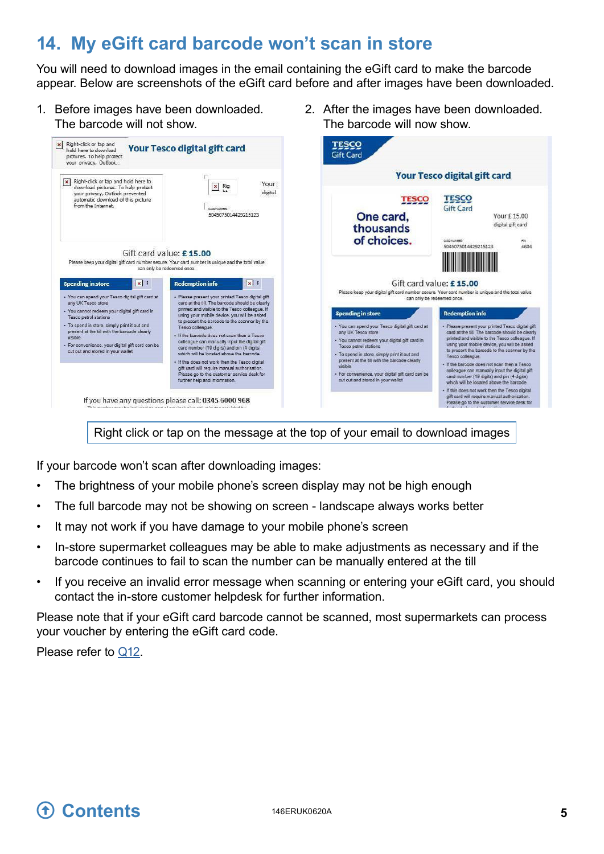#### <span id="page-4-1"></span><span id="page-4-0"></span>**14. My eGift card barcode won't scan in store**

You will need to download images in the email containing the eGift card to make the barcode appear. Below are screenshots of the eGift card before and after images have been downloaded.

2. After the images have been downloaded.

The barcode will now show.

- 1. Before images have been downloaded. The barcode will not show.
	- $\begin{tabular}{ll} \hline \bf x & Right-click or tap and hold here to download pictures. To help protect your privacy, Outbook... \end{tabular}$ **TESCO Your Tesco digital gift card Gift Card Your Tesco digital gift card** x Right-click or tap and hold here to Your  $\boxed{\mathbf{x}}$  Rig Nagniculate in the air and the under the protect<br>download pictures. To help protect<br>your privacy, Outlook prevented<br>automatic download of this picture<br>from the Internet. digital **TESCO TESCO Gift Card** 5045075014429215123 One card, Your £15.00 digital gift card thousands of choices. CARD NUMBER<br>5045075014429215123  $78$ <br>4604 Gift card value: £15.00 **All All All** Please keep your digital gift card number secure. Your card number is unique and the total value IIII Gift card value: £15.00 Spending in store XI **Redemption info**  $\mathbf{X}$ Please keep your digital gift card number secure. Your card number is unique and the total value -<br>You can spend your Tesoo digital gift card at<br>any UK Tesco store · Please present your printed Tesco digital gift<br>card at the till. The barcode should be clearly can only be redeemed once. card at the fill. The barcode should be clearly<br>printed and visible to the Tesco colleague. If<br>using your mobile device, you will be asked<br>to present the barcode to the scanner by the<br>Tesco colleague. · You cannot redeem your digital gift card in<br>Tesco petrol stations **Spending in store Redemption info** - Please present your printed Tesoc digital gift<br>card at the till. The barcode should be clearly<br>printed and visible to the Tesoc colleague. If<br>using your mobile device, you will be asked<br>to present the barcode to the sca . To spend in store, simply print it out and<br>present at the till with the barcode clearly . You can spend your Tesco digital gift card at<br>any UK Tesco store - If the baroode does not scan then a Tesoo<br>colleague can manually input the digital gift<br>card number (19 digits) and pin (4 digits)<br>which will be located above the baroode. visible · You cannot redeem your digital gift card in<br>Tesco petrol stations ence, your digital gift card can be - For conver cut out and stored in your wallet To spend in store, simply print it out and<br>present at the till with the barcode clearly<br>visible If this does not work then the Tesco digital - If the barcode does not scan then a Tesco<br>colleague can manually input the digital gift<br>card number (19 digits) and pin (4 digits)<br>which will be located above the barcode. gift card will require manual authorisation For convenience, your digital gift card can be<br>cut out and stored in your wallet Please go to the customer service desk for further help and information - If this does not work then the Tesco digital<br>gift card will require manual authorisation.<br>Please go to the customer service desk for If you have any questions please call: 0345 6000 968

Right click or tap on the message at the top of your email to download images

If your barcode won't scan after downloading images:

- The brightness of your mobile phone's screen display may not be high enough
- The full barcode may not be showing on screen landscape always works better
- It may not work if you have damage to your mobile phone's screen
- In-store supermarket colleagues may be able to make adjustments as necessary and if the barcode continues to fail to scan the number can be manually entered at the till
- If you receive an invalid error message when scanning or entering your eGift card, you should contact the in-store customer helpdesk for further information.

Please note that if your eGift card barcode cannot be scanned, most supermarkets can process your voucher by entering the eGift card code.

Please refer to [Q12.](#page-3-1)

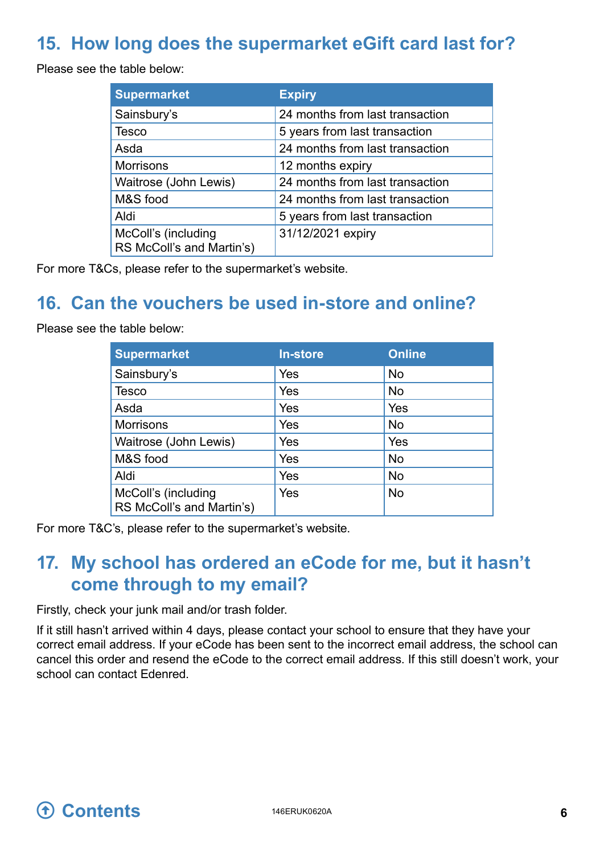#### <span id="page-5-0"></span>**15. How long does the supermarket eGift card last for?**

Please see the table below:

<span id="page-5-2"></span>

| <b>Supermarket</b>                               | <b>Expiry</b>                   |
|--------------------------------------------------|---------------------------------|
| Sainsbury's                                      | 24 months from last transaction |
| Tesco                                            | 5 years from last transaction   |
| Asda                                             | 24 months from last transaction |
| <b>Morrisons</b>                                 | 12 months expiry                |
| Waitrose (John Lewis)                            | 24 months from last transaction |
| M&S food                                         | 24 months from last transaction |
| Aldi                                             | 5 years from last transaction   |
| McColl's (including<br>RS McColl's and Martin's) | 31/12/2021 expiry               |

For more T&Cs, please refer to the supermarket's website.

#### **16. Can the vouchers be used in-store and online?**

Please see the table below:

<span id="page-5-1"></span>

| <b>Supermarket</b>                               | <b>In-store</b> | <b>Online</b> |
|--------------------------------------------------|-----------------|---------------|
| Sainsbury's                                      | Yes             | <b>No</b>     |
| <b>Tesco</b>                                     | Yes             | No            |
| Asda                                             | Yes             | Yes           |
| <b>Morrisons</b>                                 | Yes             | No            |
| Waitrose (John Lewis)                            | Yes             | Yes           |
| M&S food                                         | Yes             | <b>No</b>     |
| Aldi                                             | Yes             | No            |
| McColl's (including<br>RS McColl's and Martin's) | Yes             | <b>No</b>     |

For more T&C's, please refer to the supermarket's website.

#### **17. My school has ordered an eCode for me, but it hasn't come through to my email?**

Firstly, check your junk mail and/or trash folder.

If it still hasn't arrived within 4 days, please contact your school to ensure that they have your correct email address. If your eCode has been sent to the incorrect email address, the school can cancel this order and resend the eCode to the correct email address. If this still doesn't work, your school can contact Edenred.